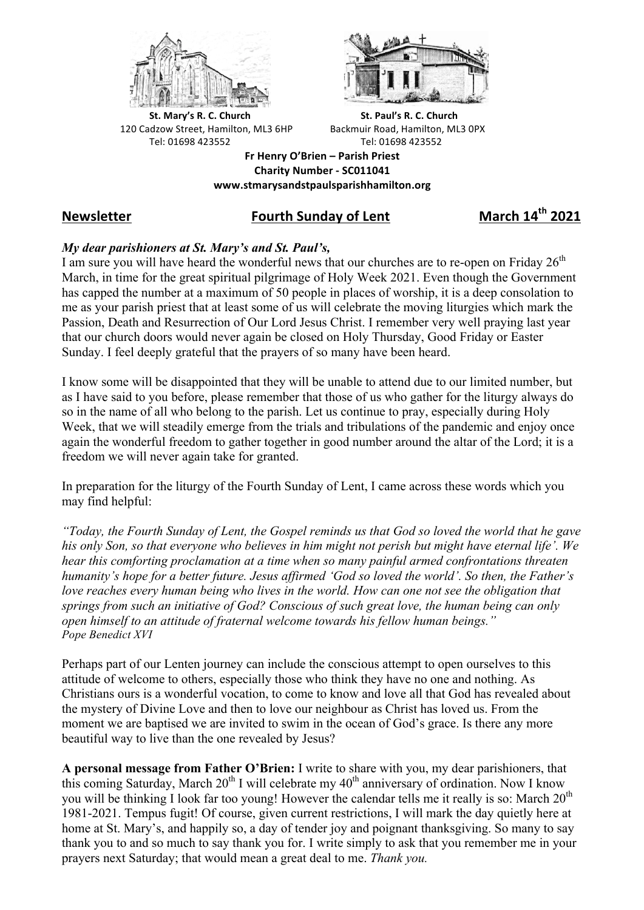



**St.** Mary's R. C. Church St. Paul's R. C. Church 120 Cadzow Street, Hamilton, ML3 6HP Backmuir Road, Hamilton, ML3 0PX Tel: 01698 423552 Tel: 01698 423552

**Fr Henry O'Brien – Parish Priest Charity Number - SC011041 www.stmarysandstpaulsparishhamilton.org**

# **Newsletter Fourth Sunday of Lent March 14th 2021**

## *My dear parishioners at St. Mary's and St. Paul's,*

I am sure you will have heard the wonderful news that our churches are to re-open on Friday  $26<sup>th</sup>$ March, in time for the great spiritual pilgrimage of Holy Week 2021. Even though the Government has capped the number at a maximum of 50 people in places of worship, it is a deep consolation to me as your parish priest that at least some of us will celebrate the moving liturgies which mark the Passion, Death and Resurrection of Our Lord Jesus Christ. I remember very well praying last year that our church doors would never again be closed on Holy Thursday, Good Friday or Easter Sunday. I feel deeply grateful that the prayers of so many have been heard.

I know some will be disappointed that they will be unable to attend due to our limited number, but as I have said to you before, please remember that those of us who gather for the liturgy always do so in the name of all who belong to the parish. Let us continue to pray, especially during Holy Week, that we will steadily emerge from the trials and tribulations of the pandemic and enjoy once again the wonderful freedom to gather together in good number around the altar of the Lord; it is a freedom we will never again take for granted.

In preparation for the liturgy of the Fourth Sunday of Lent, I came across these words which you may find helpful:

*"Today, the Fourth Sunday of Lent, the Gospel reminds us that God so loved the world that he gave his only Son, so that everyone who believes in him might not perish but might have eternal life'. We hear this comforting proclamation at a time when so many painful armed confrontations threaten humanity's hope for a better future. Jesus affirmed 'God so loved the world'. So then, the Father's love reaches every human being who lives in the world. How can one not see the obligation that springs from such an initiative of God? Conscious of such great love, the human being can only open himself to an attitude of fraternal welcome towards his fellow human beings." Pope Benedict XVI*

Perhaps part of our Lenten journey can include the conscious attempt to open ourselves to this attitude of welcome to others, especially those who think they have no one and nothing. As Christians ours is a wonderful vocation, to come to know and love all that God has revealed about the mystery of Divine Love and then to love our neighbour as Christ has loved us. From the moment we are baptised we are invited to swim in the ocean of God's grace. Is there any more beautiful way to live than the one revealed by Jesus?

**A personal message from Father O'Brien:** I write to share with you, my dear parishioners, that this coming Saturday, March  $20^{th}$  I will celebrate my  $40^{th}$  anniversary of ordination. Now I know you will be thinking I look far too young! However the calendar tells me it really is so: March  $20<sup>th</sup>$ 1981-2021. Tempus fugit! Of course, given current restrictions, I will mark the day quietly here at home at St. Mary's, and happily so, a day of tender joy and poignant thanksgiving. So many to say thank you to and so much to say thank you for. I write simply to ask that you remember me in your prayers next Saturday; that would mean a great deal to me. *Thank you.*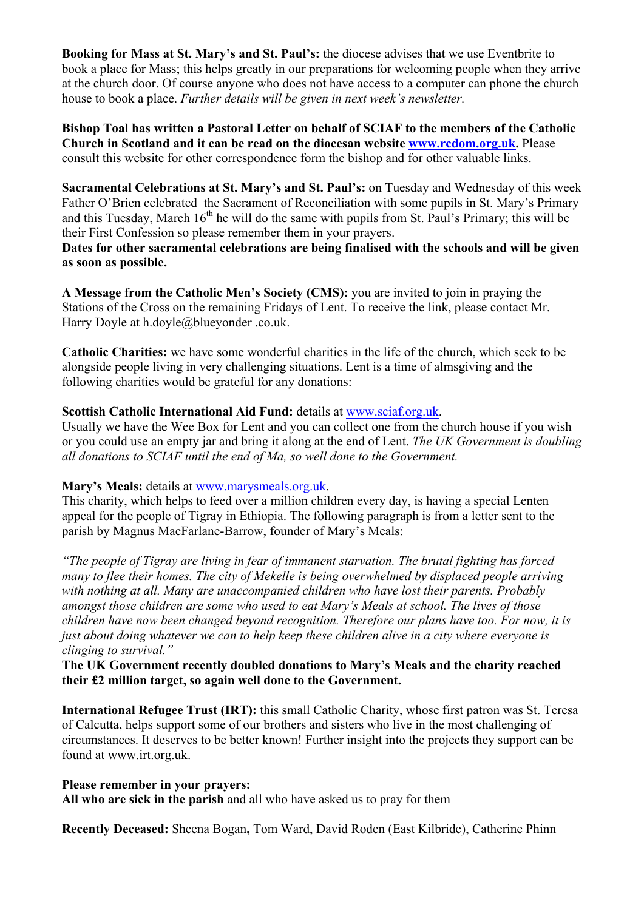**Booking for Mass at St. Mary's and St. Paul's:** the diocese advises that we use Eventbrite to book a place for Mass; this helps greatly in our preparations for welcoming people when they arrive at the church door. Of course anyone who does not have access to a computer can phone the church house to book a place. *Further details will be given in next week's newsletter.*

**Bishop Toal has written a Pastoral Letter on behalf of SCIAF to the members of the Catholic Church in Scotland and it can be read on the diocesan website www.rcdom.org.uk.** Please consult this website for other correspondence form the bishop and for other valuable links.

**Sacramental Celebrations at St. Mary's and St. Paul's:** on Tuesday and Wednesday of this week Father O'Brien celebrated the Sacrament of Reconciliation with some pupils in St. Mary's Primary and this Tuesday, March  $16<sup>th</sup>$  he will do the same with pupils from St. Paul's Primary; this will be their First Confession so please remember them in your prayers.

**Dates for other sacramental celebrations are being finalised with the schools and will be given as soon as possible.**

**A Message from the Catholic Men's Society (CMS):** you are invited to join in praying the Stations of the Cross on the remaining Fridays of Lent. To receive the link, please contact Mr. Harry Doyle at h.doyle@blueyonder .co.uk.

**Catholic Charities:** we have some wonderful charities in the life of the church, which seek to be alongside people living in very challenging situations. Lent is a time of almsgiving and the following charities would be grateful for any donations:

### **Scottish Catholic International Aid Fund:** details at www.sciaf.org.uk.

Usually we have the Wee Box for Lent and you can collect one from the church house if you wish or you could use an empty jar and bring it along at the end of Lent. *The UK Government is doubling all donations to SCIAF until the end of Ma, so well done to the Government.*

#### **Mary's Meals:** details at www.marysmeals.org.uk.

This charity, which helps to feed over a million children every day, is having a special Lenten appeal for the people of Tigray in Ethiopia. The following paragraph is from a letter sent to the parish by Magnus MacFarlane-Barrow, founder of Mary's Meals:

*"The people of Tigray are living in fear of immanent starvation. The brutal fighting has forced many to flee their homes. The city of Mekelle is being overwhelmed by displaced people arriving with nothing at all. Many are unaccompanied children who have lost their parents. Probably amongst those children are some who used to eat Mary's Meals at school. The lives of those children have now been changed beyond recognition. Therefore our plans have too. For now, it is just about doing whatever we can to help keep these children alive in a city where everyone is clinging to survival."*

### **The UK Government recently doubled donations to Mary's Meals and the charity reached their £2 million target, so again well done to the Government.**

**International Refugee Trust (IRT):** this small Catholic Charity, whose first patron was St. Teresa of Calcutta, helps support some of our brothers and sisters who live in the most challenging of circumstances. It deserves to be better known! Further insight into the projects they support can be found at www.irt.org.uk.

#### **Please remember in your prayers:**

**All who are sick in the parish** and all who have asked us to pray for them

**Recently Deceased:** Sheena Bogan**,** Tom Ward, David Roden (East Kilbride), Catherine Phinn